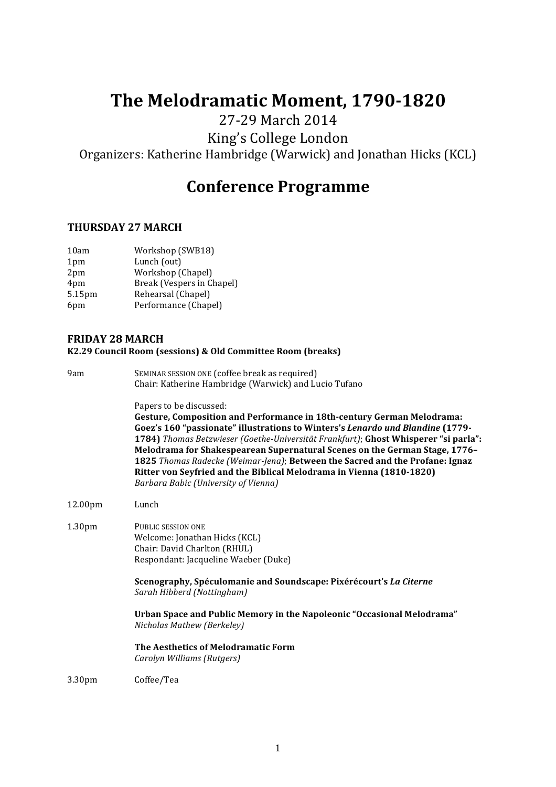# The Melodramatic Moment, 1790-1820

27-29 March 2014 King's College London Organizers: Katherine Hambridge (Warwick) and Jonathan Hicks (KCL)

## **Conference Programme**

#### **THURSDAY 27 MARCH**

| Break (Vespers in Chapel) |
|---------------------------|
|                           |
|                           |
|                           |

#### **FRIDAY 28 MARCH**

#### **K2.29 Council Room (sessions) & Old Committee Room (breaks)**

| 9am                | SEMINAR SESSION ONE (coffee break as required)<br>Chair: Katherine Hambridge (Warwick) and Lucio Tufano                                                                                                                                                                                                                                                                                                                                                                                                                                                         |
|--------------------|-----------------------------------------------------------------------------------------------------------------------------------------------------------------------------------------------------------------------------------------------------------------------------------------------------------------------------------------------------------------------------------------------------------------------------------------------------------------------------------------------------------------------------------------------------------------|
|                    | Papers to be discussed:<br><b>Gesture, Composition and Performance in 18th-century German Melodrama:</b><br>Goez's 160 "passionate" illustrations to Winters's Lenardo und Blandine (1779-<br>1784) Thomas Betzwieser (Goethe-Universität Frankfurt); Ghost Whisperer "si parla":<br>Melodrama for Shakespearean Supernatural Scenes on the German Stage, 1776-<br>1825 Thomas Radecke (Weimar-Jena); Between the Sacred and the Profane: Ignaz<br>Ritter von Seyfried and the Biblical Melodrama in Vienna (1810-1820)<br>Barbara Babic (University of Vienna) |
| 12.00pm            | Lunch                                                                                                                                                                                                                                                                                                                                                                                                                                                                                                                                                           |
| 1.30 <sub>pm</sub> | PUBLIC SESSION ONE<br>Welcome: Jonathan Hicks (KCL)<br>Chair: David Charlton (RHUL)<br>Respondant: Jacqueline Waeber (Duke)                                                                                                                                                                                                                                                                                                                                                                                                                                     |
|                    | Scenography, Spéculomanie and Soundscape: Pixérécourt's La Citerne<br>Sarah Hibberd (Nottingham)                                                                                                                                                                                                                                                                                                                                                                                                                                                                |
|                    | Urban Space and Public Memory in the Napoleonic "Occasional Melodrama"<br>Nicholas Mathew (Berkeley)                                                                                                                                                                                                                                                                                                                                                                                                                                                            |
|                    | The Aesthetics of Melodramatic Form<br>Carolyn Williams (Rutgers)                                                                                                                                                                                                                                                                                                                                                                                                                                                                                               |
| 3.30 <sub>pm</sub> | Coffee/Tea                                                                                                                                                                                                                                                                                                                                                                                                                                                                                                                                                      |